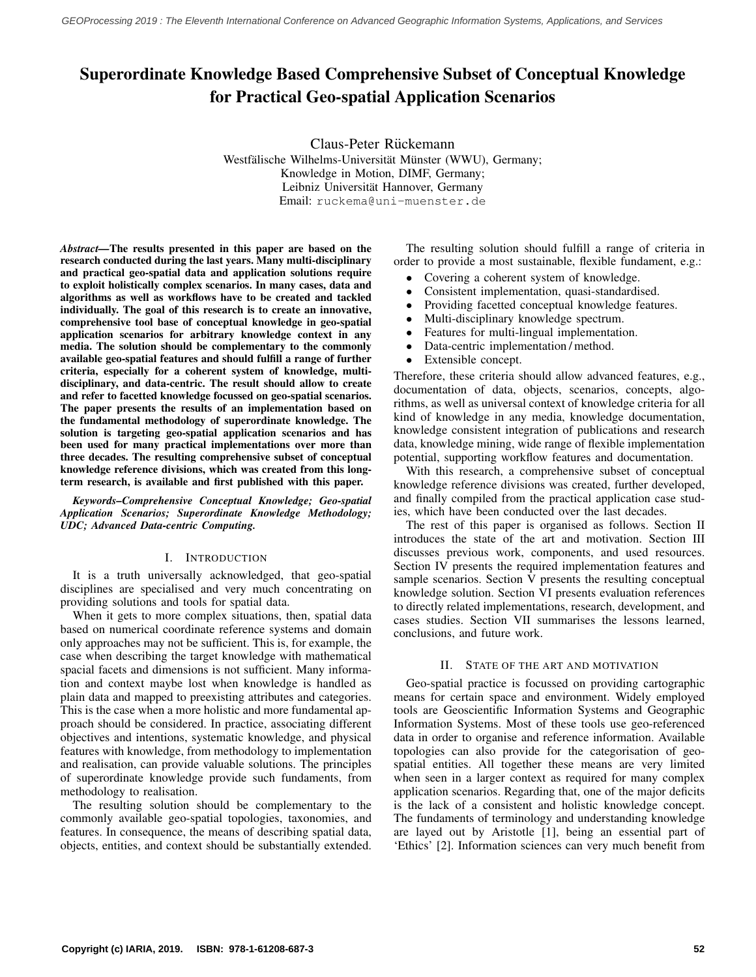# Superordinate Knowledge Based Comprehensive Subset of Conceptual Knowledge for Practical Geo-spatial Application Scenarios

Claus-Peter Rückemann Westfälische Wilhelms-Universität Münster (WWU), Germany; Knowledge in Motion, DIMF, Germany; Leibniz Universität Hannover, Germany Email: ruckema@uni-muenster.de

*Abstract—*The results presented in this paper are based on the research conducted during the last years. Many multi-disciplinary and practical geo-spatial data and application solutions require to exploit holistically complex scenarios. In many cases, data and algorithms as well as workflows have to be created and tackled individually. The goal of this research is to create an innovative, comprehensive tool base of conceptual knowledge in geo-spatial application scenarios for arbitrary knowledge context in any media. The solution should be complementary to the commonly available geo-spatial features and should fulfill a range of further criteria, especially for a coherent system of knowledge, multidisciplinary, and data-centric. The result should allow to create and refer to facetted knowledge focussed on geo-spatial scenarios. The paper presents the results of an implementation based on the fundamental methodology of superordinate knowledge. The solution is targeting geo-spatial application scenarios and has been used for many practical implementations over more than three decades. The resulting comprehensive subset of conceptual knowledge reference divisions, which was created from this longterm research, is available and first published with this paper.

*Keywords–Comprehensive Conceptual Knowledge; Geo-spatial Application Scenarios; Superordinate Knowledge Methodology; UDC; Advanced Data-centric Computing.*

# I. INTRODUCTION

It is a truth universally acknowledged, that geo-spatial disciplines are specialised and very much concentrating on providing solutions and tools for spatial data.

When it gets to more complex situations, then, spatial data based on numerical coordinate reference systems and domain only approaches may not be sufficient. This is, for example, the case when describing the target knowledge with mathematical spacial facets and dimensions is not sufficient. Many information and context maybe lost when knowledge is handled as plain data and mapped to preexisting attributes and categories. This is the case when a more holistic and more fundamental approach should be considered. In practice, associating different objectives and intentions, systematic knowledge, and physical features with knowledge, from methodology to implementation and realisation, can provide valuable solutions. The principles of superordinate knowledge provide such fundaments, from methodology to realisation.

The resulting solution should be complementary to the commonly available geo-spatial topologies, taxonomies, and features. In consequence, the means of describing spatial data, objects, entities, and context should be substantially extended.

The resulting solution should fulfill a range of criteria in order to provide a most sustainable, flexible fundament, e.g.:

- Covering a coherent system of knowledge.
- Consistent implementation, quasi-standardised.
- Providing facetted conceptual knowledge features.
- Multi-disciplinary knowledge spectrum.
- Features for multi-lingual implementation.
- Data-centric implementation / method.
- Extensible concept.

Therefore, these criteria should allow advanced features, e.g., documentation of data, objects, scenarios, concepts, algorithms, as well as universal context of knowledge criteria for all kind of knowledge in any media, knowledge documentation, knowledge consistent integration of publications and research data, knowledge mining, wide range of flexible implementation potential, supporting workflow features and documentation.

With this research, a comprehensive subset of conceptual knowledge reference divisions was created, further developed, and finally compiled from the practical application case studies, which have been conducted over the last decades.

The rest of this paper is organised as follows. Section II introduces the state of the art and motivation. Section III discusses previous work, components, and used resources. Section IV presents the required implementation features and sample scenarios. Section V presents the resulting conceptual knowledge solution. Section VI presents evaluation references to directly related implementations, research, development, and cases studies. Section VII summarises the lessons learned, conclusions, and future work.

# II. STATE OF THE ART AND MOTIVATION

Geo-spatial practice is focussed on providing cartographic means for certain space and environment. Widely employed tools are Geoscientific Information Systems and Geographic Information Systems. Most of these tools use geo-referenced data in order to organise and reference information. Available topologies can also provide for the categorisation of geospatial entities. All together these means are very limited when seen in a larger context as required for many complex application scenarios. Regarding that, one of the major deficits is the lack of a consistent and holistic knowledge concept. The fundaments of terminology and understanding knowledge are layed out by Aristotle [\[1\]](#page-5-0), being an essential part of 'Ethics' [\[2\]](#page-5-1). Information sciences can very much benefit from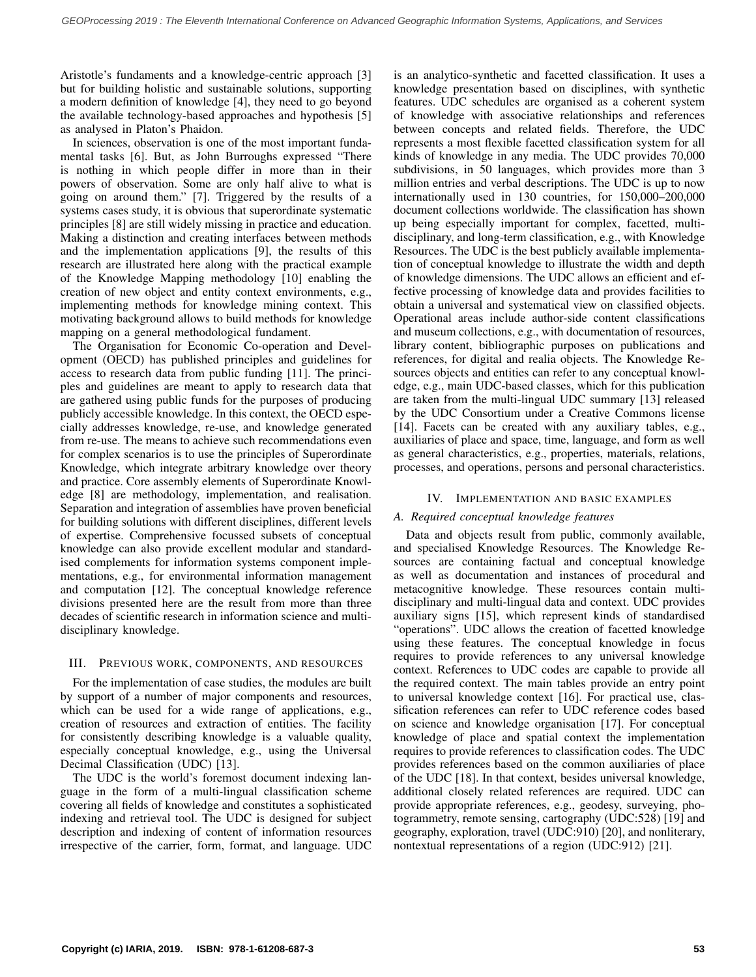Aristotle's fundaments and a knowledge-centric approach [\[3\]](#page-5-2) but for building holistic and sustainable solutions, supporting a modern definition of knowledge [\[4\]](#page-5-3), they need to go beyond the available technology-based approaches and hypothesis [\[5\]](#page-5-4) as analysed in Platon's Phaidon.

In sciences, observation is one of the most important fundamental tasks [\[6\]](#page-5-5). But, as John Burroughs expressed "There is nothing in which people differ in more than in their powers of observation. Some are only half alive to what is going on around them." [\[7\]](#page-5-6). Triggered by the results of a systems cases study, it is obvious that superordinate systematic principles [\[8\]](#page-5-7) are still widely missing in practice and education. Making a distinction and creating interfaces between methods and the implementation applications [\[9\]](#page-5-8), the results of this research are illustrated here along with the practical example of the Knowledge Mapping methodology [\[10\]](#page-6-0) enabling the creation of new object and entity context environments, e.g., implementing methods for knowledge mining context. This motivating background allows to build methods for knowledge mapping on a general methodological fundament.

The Organisation for Economic Co-operation and Development (OECD) has published principles and guidelines for access to research data from public funding [\[11\]](#page-6-1). The principles and guidelines are meant to apply to research data that are gathered using public funds for the purposes of producing publicly accessible knowledge. In this context, the OECD especially addresses knowledge, re-use, and knowledge generated from re-use. The means to achieve such recommendations even for complex scenarios is to use the principles of Superordinate Knowledge, which integrate arbitrary knowledge over theory and practice. Core assembly elements of Superordinate Knowledge [\[8\]](#page-5-7) are methodology, implementation, and realisation. Separation and integration of assemblies have proven beneficial for building solutions with different disciplines, different levels of expertise. Comprehensive focussed subsets of conceptual knowledge can also provide excellent modular and standardised complements for information systems component implementations, e.g., for environmental information management and computation [\[12\]](#page-6-2). The conceptual knowledge reference divisions presented here are the result from more than three decades of scientific research in information science and multidisciplinary knowledge.

## III. PREVIOUS WORK, COMPONENTS, AND RESOURCES

For the implementation of case studies, the modules are built by support of a number of major components and resources, which can be used for a wide range of applications, e.g., creation of resources and extraction of entities. The facility for consistently describing knowledge is a valuable quality, especially conceptual knowledge, e.g., using the Universal Decimal Classification (UDC) [\[13\]](#page-6-3).

The UDC is the world's foremost document indexing language in the form of a multi-lingual classification scheme covering all fields of knowledge and constitutes a sophisticated indexing and retrieval tool. The UDC is designed for subject description and indexing of content of information resources irrespective of the carrier, form, format, and language. UDC is an analytico-synthetic and facetted classification. It uses a knowledge presentation based on disciplines, with synthetic features. UDC schedules are organised as a coherent system of knowledge with associative relationships and references between concepts and related fields. Therefore, the UDC represents a most flexible facetted classification system for all kinds of knowledge in any media. The UDC provides 70,000 subdivisions, in 50 languages, which provides more than 3 million entries and verbal descriptions. The UDC is up to now internationally used in 130 countries, for 150,000–200,000 document collections worldwide. The classification has shown up being especially important for complex, facetted, multidisciplinary, and long-term classification, e.g., with Knowledge Resources. The UDC is the best publicly available implementation of conceptual knowledge to illustrate the width and depth of knowledge dimensions. The UDC allows an efficient and effective processing of knowledge data and provides facilities to obtain a universal and systematical view on classified objects. Operational areas include author-side content classifications and museum collections, e.g., with documentation of resources, library content, bibliographic purposes on publications and references, for digital and realia objects. The Knowledge Resources objects and entities can refer to any conceptual knowledge, e.g., main UDC-based classes, which for this publication are taken from the multi-lingual UDC summary [\[13\]](#page-6-3) released by the UDC Consortium under a Creative Commons license [\[14\]](#page-6-4). Facets can be created with any auxiliary tables, e.g., auxiliaries of place and space, time, language, and form as well as general characteristics, e.g., properties, materials, relations, processes, and operations, persons and personal characteristics.

## IV. IMPLEMENTATION AND BASIC EXAMPLES

# *A. Required conceptual knowledge features*

Data and objects result from public, commonly available, and specialised Knowledge Resources. The Knowledge Resources are containing factual and conceptual knowledge as well as documentation and instances of procedural and metacognitive knowledge. These resources contain multidisciplinary and multi-lingual data and context. UDC provides auxiliary signs [\[15\]](#page-6-5), which represent kinds of standardised "operations". UDC allows the creation of facetted knowledge using these features. The conceptual knowledge in focus requires to provide references to any universal knowledge context. References to UDC codes are capable to provide all the required context. The main tables provide an entry point to universal knowledge context [\[16\]](#page-6-6). For practical use, classification references can refer to UDC reference codes based on science and knowledge organisation [\[17\]](#page-6-7). For conceptual knowledge of place and spatial context the implementation requires to provide references to classification codes. The UDC provides references based on the common auxiliaries of place of the UDC [\[18\]](#page-6-8). In that context, besides universal knowledge, additional closely related references are required. UDC can provide appropriate references, e.g., geodesy, surveying, photogrammetry, remote sensing, cartography (UDC:528) [\[19\]](#page-6-9) and geography, exploration, travel (UDC:910) [\[20\]](#page-6-10), and nonliterary, nontextual representations of a region (UDC:912) [\[21\]](#page-6-11).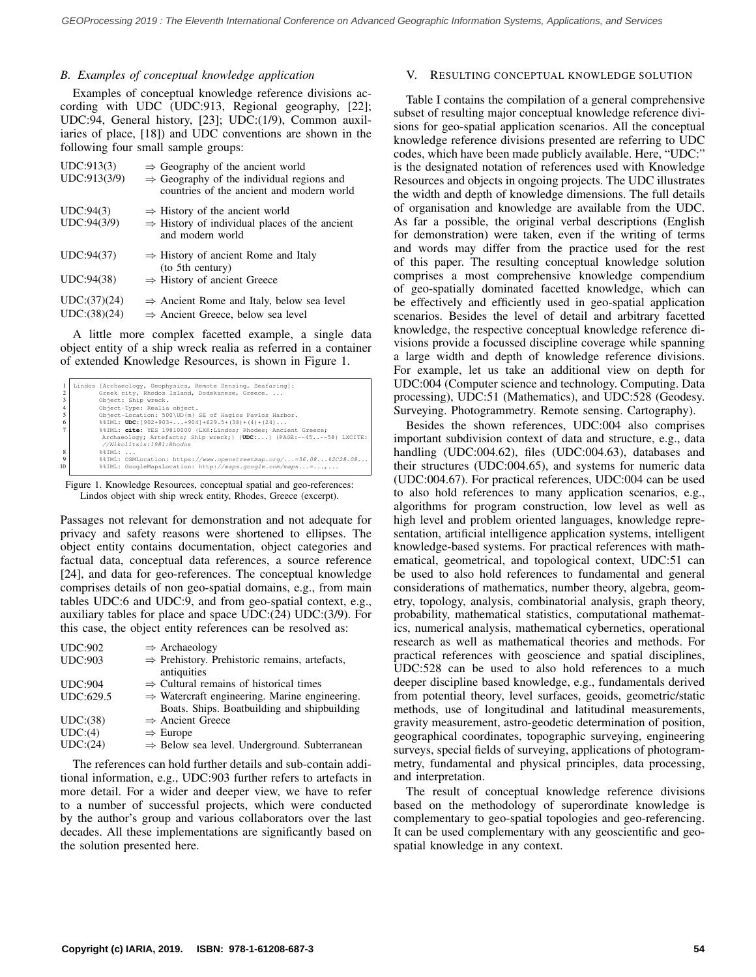## *B. Examples of conceptual knowledge application*

Examples of conceptual knowledge reference divisions according with UDC (UDC:913, Regional geography, [\[22\]](#page-6-12); UDC:94, General history, [\[23\]](#page-6-13); UDC:(1/9), Common auxiliaries of place, [\[18\]](#page-6-8)) and UDC conventions are shown in the following four small sample groups:

| UDC:913(3)<br>UDC:913(3/9) | $\Rightarrow$ Geography of the ancient world<br>$\Rightarrow$ Geography of the individual regions and<br>countries of the ancient and modern world |
|----------------------------|----------------------------------------------------------------------------------------------------------------------------------------------------|
| UDC:94(3)<br>UDC:94(3/9)   | $\Rightarrow$ History of the ancient world<br>$\Rightarrow$ History of individual places of the ancient<br>and modern world                        |
| UDC:94(37)                 | $\Rightarrow$ History of ancient Rome and Italy<br>(to 5th century)                                                                                |
| UDC:94(38)                 | $\Rightarrow$ History of ancient Greece                                                                                                            |
| UDC:(37)(24)               | $\Rightarrow$ Ancient Rome and Italy, below sea level                                                                                              |
| UDC:(38)(24)               | $\Rightarrow$ Ancient Greece, below sea level                                                                                                      |

A little more complex facetted example, a single data object entity of a ship wreck realia as referred in a container of extended Knowledge Resources, is shown in Figure [1.](#page-2-0)

<span id="page-2-0"></span>

|                | Lindos [Archaeology, Geophysics, Remote Sensing, Seafaring]:         |  |  |  |  |
|----------------|----------------------------------------------------------------------|--|--|--|--|
| $\mathfrak{D}$ | Greek city, Rhodos Island, Dodekanese, Greece.                       |  |  |  |  |
|                | Object: Ship wreck.                                                  |  |  |  |  |
| $\overline{4}$ | Object-Type: Realia object.                                          |  |  |  |  |
|                | Object-Location: 500\UD{m} SE of Hagios Pavlos Harbor.               |  |  |  |  |
| 6              | $\texttt{SSIML: UDC: } [902+903++904]+629.5+(38)+(4)+(24)$           |  |  |  |  |
|                | %%IML: cite: YES 19810000 {LXK:Lindos; Rhodes; Ancient Greece;       |  |  |  |  |
|                | Archaeology; Artefacts; Ship wreck; } {UDC:} {PAGE:--45--58} LXCITE: |  |  |  |  |
|                | //Nikolitsis:1981:Rhodos                                             |  |  |  |  |
| $\mathbf{8}$   | $\text{S}$ IML: $\ldots$                                             |  |  |  |  |
| 9              |                                                                      |  |  |  |  |
| 10             |                                                                      |  |  |  |  |
|                |                                                                      |  |  |  |  |

Figure 1. Knowledge Resources, conceptual spatial and geo-references: Lindos object with ship wreck entity, Rhodes, Greece (excerpt).

Passages not relevant for demonstration and not adequate for privacy and safety reasons were shortened to ellipses. The object entity contains documentation, object categories and factual data, conceptual data references, a source reference [\[24\]](#page-6-14), and data for geo-references. The conceptual knowledge comprises details of non geo-spatial domains, e.g., from main tables UDC:6 and UDC:9, and from geo-spatial context, e.g., auxiliary tables for place and space UDC:(24) UDC:(3/9). For this case, the object entity references can be resolved as:

| <b>UDC:902</b> | $\Rightarrow$ Archaeology                                 |
|----------------|-----------------------------------------------------------|
| <b>UDC:903</b> | $\Rightarrow$ Prehistory. Prehistoric remains, artefacts, |
|                | antiquities                                               |
| <b>UDC:904</b> | $\Rightarrow$ Cultural remains of historical times        |
| UDC:629.5      | $\Rightarrow$ Watercraft engineering. Marine engineering. |
|                | Boats. Ships. Boatbuilding and shipbuilding               |
| UDC:(38)       | $\Rightarrow$ Ancient Greece                              |
| UDC:(4)        | $\Rightarrow$ Europe                                      |
| UDC:(24)       | $\Rightarrow$ Below sea level. Underground. Subterranean  |
|                |                                                           |

The references can hold further details and sub-contain additional information, e.g., UDC:903 further refers to artefacts in more detail. For a wider and deeper view, we have to refer to a number of successful projects, which were conducted by the author's group and various collaborators over the last decades. All these implementations are significantly based on the solution presented here.

# V. RESULTING CONCEPTUAL KNOWLEDGE SOLUTION

Table [I](#page-3-0) contains the compilation of a general comprehensive subset of resulting major conceptual knowledge reference divisions for geo-spatial application scenarios. All the conceptual knowledge reference divisions presented are referring to UDC codes, which have been made publicly available. Here, "UDC:" is the designated notation of references used with Knowledge Resources and objects in ongoing projects. The UDC illustrates the width and depth of knowledge dimensions. The full details of organisation and knowledge are available from the UDC. As far a possible, the original verbal descriptions (English for demonstration) were taken, even if the writing of terms and words may differ from the practice used for the rest of this paper. The resulting conceptual knowledge solution comprises a most comprehensive knowledge compendium of geo-spatially dominated facetted knowledge, which can be effectively and efficiently used in geo-spatial application scenarios. Besides the level of detail and arbitrary facetted knowledge, the respective conceptual knowledge reference divisions provide a focussed discipline coverage while spanning a large width and depth of knowledge reference divisions. For example, let us take an additional view on depth for UDC:004 (Computer science and technology. Computing. Data processing), UDC:51 (Mathematics), and UDC:528 (Geodesy. Surveying. Photogrammetry. Remote sensing. Cartography).

Besides the shown references, UDC:004 also comprises important subdivision context of data and structure, e.g., data handling (UDC:004.62), files (UDC:004.63), databases and their structures (UDC:004.65), and systems for numeric data (UDC:004.67). For practical references, UDC:004 can be used to also hold references to many application scenarios, e.g., algorithms for program construction, low level as well as high level and problem oriented languages, knowledge representation, artificial intelligence application systems, intelligent knowledge-based systems. For practical references with mathematical, geometrical, and topological context, UDC:51 can be used to also hold references to fundamental and general considerations of mathematics, number theory, algebra, geometry, topology, analysis, combinatorial analysis, graph theory, probability, mathematical statistics, computational mathematics, numerical analysis, mathematical cybernetics, operational research as well as mathematical theories and methods. For practical references with geoscience and spatial disciplines, UDC:528 can be used to also hold references to a much deeper discipline based knowledge, e.g., fundamentals derived from potential theory, level surfaces, geoids, geometric/static methods, use of longitudinal and latitudinal measurements, gravity measurement, astro-geodetic determination of position, geographical coordinates, topographic surveying, engineering surveys, special fields of surveying, applications of photogrammetry, fundamental and physical principles, data processing, and interpretation.

The result of conceptual knowledge reference divisions based on the methodology of superordinate knowledge is complementary to geo-spatial topologies and geo-referencing. It can be used complementary with any geoscientific and geospatial knowledge in any context.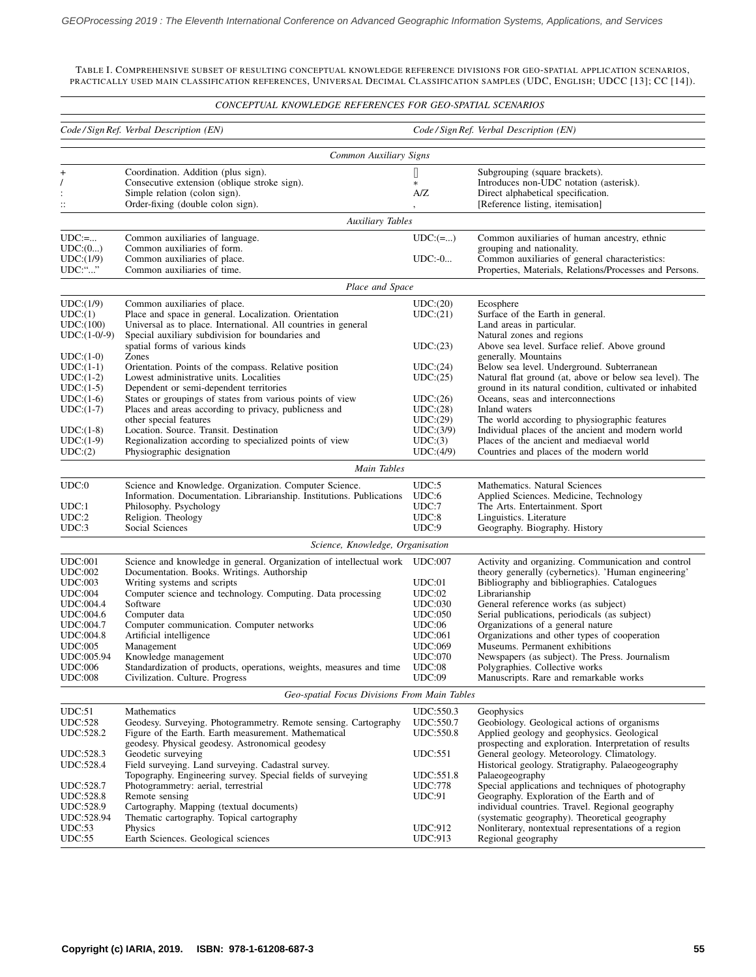<span id="page-3-0"></span>TABLE I. COMPREHENSIVE SUBSET OF RESULTING CONCEPTUAL KNOWLEDGE REFERENCE DIVISIONS FOR GEO-SPATIAL APPLICATION SCENARIOS, PRACTICALLY USED MAIN CLASSIFICATION REFERENCES, UNIVERSAL DECIMAL CLASSIFICATION SAMPLES (UDC, ENGLISH; UDCC [\[13\]](#page-6-3); CC [\[14\]](#page-6-4)).

## *CONCEPTUAL KNOWLEDGE REFERENCES FOR GEO-SPATIAL SCENARIOS*

| Common Auxiliary Signs<br>$\Box$<br>Coordination. Addition (plus sign).<br>Subgrouping (square brackets).<br>+<br>Consecutive extension (oblique stroke sign).<br>Introduces non-UDC notation (asterisk).<br>$\ast$<br>Simple relation (colon sign).<br>A/Z<br>Direct alphabetical specification.<br>Order-fixing (double colon sign).<br>[Reference listing, itemisation]<br>$\vdots$<br>Auxiliary Tables<br>$UDC:=$<br>$UDC: (=)$<br>Common auxiliaries of human ancestry, ethnic<br>Common auxiliaries of language.<br>UDC:(0)<br>Common auxiliaries of form.<br>grouping and nationality.<br>UDC:(1/9)<br>Common auxiliaries of place.<br>$UDC: -0$<br>Common auxiliaries of general characteristics:<br>UDC:""<br>Properties, Materials, Relations/Processes and Persons.<br>Common auxiliaries of time.<br>Place and Space<br>UDC:(1/9)<br>Common auxiliaries of place.<br>UDC:(20)<br>Ecosphere<br>UDC:(1)<br>Place and space in general. Localization. Orientation<br>UDC:(21)<br>Surface of the Earth in general.<br>UDC:(100)<br>Universal as to place. International. All countries in general<br>Land areas in particular.<br>Special auxiliary subdivision for boundaries and<br>$UDC:(1-0/-9)$<br>Natural zones and regions<br>spatial forms of various kinds<br>Above sea level. Surface relief. Above ground<br>UDC:(23)<br>$UDC:(1-0)$<br>Zones<br>generally. Mountains<br>Below sea level. Underground. Subterranean<br>$UDC:(1-1)$<br>Orientation. Points of the compass. Relative position<br>UDC:(24)<br>Natural flat ground (at, above or below sea level). The<br>$UDC:(1-2)$<br>Lowest administrative units. Localities<br>UDC:(25)<br>$UDC:(1-5)$<br>ground in its natural condition, cultivated or inhabited<br>Dependent or semi-dependent territories<br>$UDC:(1-6)$<br>States or groupings of states from various points of view<br>Oceans, seas and interconnections<br>UDC:(26)<br>Places and areas according to privacy, publicness and<br>Inland waters<br>$UDC:(1-7)$<br>UDC:(28)<br>other special features<br>UDC:(29)<br>The world according to physiographic features<br>Individual places of the ancient and modern world<br>Location. Source. Transit. Destination<br>UDC:(3/9)<br>$UDC:(1-8)$<br>$UDC:(1-9)$<br>Regionalization according to specialized points of view<br>Places of the ancient and mediaeval world<br>UDC:(3)<br>UDC:(2)<br>Physiographic designation<br>UDC:(4/9)<br>Countries and places of the modern world<br>Main Tables<br>UDC:0<br>Science and Knowledge. Organization. Computer Science.<br>UDC:5<br>Mathematics. Natural Sciences<br>UDC:6<br>Information. Documentation. Librarianship. Institutions. Publications<br>Applied Sciences. Medicine, Technology<br>UDC:1<br>Philosophy. Psychology<br>UDC:7<br>The Arts. Entertainment. Sport<br>UDC:8<br>UDC:2<br>Religion. Theology<br>Linguistics. Literature<br>UDC:9<br>UDC:3<br>Social Sciences<br>Geography. Biography. History<br>Science, Knowledge, Organisation<br><b>UDC:001</b><br>Science and knowledge in general. Organization of intellectual work UDC:007<br>Activity and organizing. Communication and control<br><b>UDC:002</b><br>Documentation. Books. Writings. Authorship<br>theory generally (cybernetics). 'Human engineering'<br><b>UDC:003</b><br>Writing systems and scripts<br>Bibliography and bibliographies. Catalogues<br>UDC:01<br><b>UDC:004</b><br>Computer science and technology. Computing. Data processing<br>UDC:02<br>Librarianship<br><b>UDC:004.4</b><br>Software<br><b>UDC:030</b><br>General reference works (as subject)<br>Computer data<br>Serial publications, periodicals (as subject)<br>UDC:004.6<br><b>UDC:050</b><br><b>UDC:004.7</b><br>Computer communication. Computer networks<br>UDC:06<br>Organizations of a general nature<br><b>UDC:004.8</b><br>Artificial intelligence<br><b>UDC:061</b><br>Organizations and other types of cooperation<br><b>UDC:005</b><br><b>UDC:069</b><br>Museums. Permanent exhibitions<br>Management<br><b>UDC:070</b><br>Newspapers (as subject). The Press. Journalism<br>UDC:005.94<br>Knowledge management<br>Standardization of products, operations, weights, measures and time<br>UDC:08<br><b>UDC:006</b><br>Polygraphies. Collective works<br>UDC:09<br><b>UDC:008</b><br>Civilization. Culture. Progress<br>Manuscripts. Rare and remarkable works<br>Geo-spatial Focus Divisions From Main Tables<br>UDC:51<br>Mathematics<br>UDC:550.3<br>Geophysics<br><b>UDC:528</b><br>Geobiology. Geological actions of organisms<br>Geodesy. Surveying. Photogrammetry. Remote sensing. Cartography<br>UDC:550.7<br>UDC:528.2<br>Figure of the Earth. Earth measurement. Mathematical<br>UDC:550.8<br>Applied geology and geophysics. Geological<br>prospecting and exploration. Interpretation of results<br>geodesy. Physical geodesy. Astronomical geodesy<br>UDC:528.3<br><b>UDC:551</b><br>General geology. Meteorology. Climatology.<br>Geodetic surveying<br>UDC:528.4<br>Field surveying. Land surveying. Cadastral survey.<br>Historical geology. Stratigraphy. Palaeogeography<br>Topography. Engineering survey. Special fields of surveying<br>UDC:551.8<br>Palaeogeography<br>UDC:528.7<br>Special applications and techniques of photography<br>Photogrammetry: aerial, terrestrial<br><b>UDC:778</b><br>Geography. Exploration of the Earth and of<br><b>UDC:528.8</b><br>Remote sensing<br>UDC:91<br>UDC:528.9<br>Cartography. Mapping (textual documents)<br>individual countries. Travel. Regional geography<br>Thematic cartography. Topical cartography<br>UDC:528.94<br>(systematic geography). Theoretical geography<br>UDC:53<br>Physics<br><b>UDC:912</b><br>Nonliterary, nontextual representations of a region<br>UDC:55<br>Earth Sciences. Geological sciences<br><b>UDC:913</b><br>Regional geography |  | Code/Sign Ref. Verbal Description (EN) |  | Code/Sign Ref. Verbal Description (EN) |  |  |  |  |  |  |  |
|-----------------------------------------------------------------------------------------------------------------------------------------------------------------------------------------------------------------------------------------------------------------------------------------------------------------------------------------------------------------------------------------------------------------------------------------------------------------------------------------------------------------------------------------------------------------------------------------------------------------------------------------------------------------------------------------------------------------------------------------------------------------------------------------------------------------------------------------------------------------------------------------------------------------------------------------------------------------------------------------------------------------------------------------------------------------------------------------------------------------------------------------------------------------------------------------------------------------------------------------------------------------------------------------------------------------------------------------------------------------------------------------------------------------------------------------------------------------------------------------------------------------------------------------------------------------------------------------------------------------------------------------------------------------------------------------------------------------------------------------------------------------------------------------------------------------------------------------------------------------------------------------------------------------------------------------------------------------------------------------------------------------------------------------------------------------------------------------------------------------------------------------------------------------------------------------------------------------------------------------------------------------------------------------------------------------------------------------------------------------------------------------------------------------------------------------------------------------------------------------------------------------------------------------------------------------------------------------------------------------------------------------------------------------------------------------------------------------------------------------------------------------------------------------------------------------------------------------------------------------------------------------------------------------------------------------------------------------------------------------------------------------------------------------------------------------------------------------------------------------------------------------------------------------------------------------------------------------------------------------------------------------------------------------------------------------------------------------------------------------------------------------------------------------------------------------------------------------------------------------------------------------------------------------------------------------------------------------------------------------------------------------------------------------------------------------------------------------------------------------------------------------------------------------------------------------------------------------------------------------------------------------------------------------------------------------------------------------------------------------------------------------------------------------------------------------------------------------------------------------------------------------------------------------------------------------------------------------------------------------------------------------------------------------------------------------------------------------------------------------------------------------------------------------------------------------------------------------------------------------------------------------------------------------------------------------------------------------------------------------------------------------------------------------------------------------------------------------------------------------------------------------------------------------------------------------------------------------------------------------------------------------------------------------------------------------------------------------------------------------------------------------------------------------------------------------------------------------------------------------------------------------------------------------------------------------------------------------------------------------------------------------------------------------------------------------------------------------------------------------------------------------------------------------------------------------------------------------------------------------------------------------------------------------------------------------------------------------------------------------------------------------------------------------------------------------------------------------------------------------------------------------------------------------------------------------------------------------------|--|----------------------------------------|--|----------------------------------------|--|--|--|--|--|--|--|
|                                                                                                                                                                                                                                                                                                                                                                                                                                                                                                                                                                                                                                                                                                                                                                                                                                                                                                                                                                                                                                                                                                                                                                                                                                                                                                                                                                                                                                                                                                                                                                                                                                                                                                                                                                                                                                                                                                                                                                                                                                                                                                                                                                                                                                                                                                                                                                                                                                                                                                                                                                                                                                                                                                                                                                                                                                                                                                                                                                                                                                                                                                                                                                                                                                                                                                                                                                                                                                                                                                                                                                                                                                                                                                                                                                                                                                                                                                                                                                                                                                                                                                                                                                                                                                                                                                                                                                                                                                                                                                                                                                                                                                                                                                                                                                                                                                                                                                                                                                                                                                                                                                                                                                                                                                                                                                                                                                                                                                                                                                                                                                                                                                                                                                                                                                                                                                               |  |                                        |  |                                        |  |  |  |  |  |  |  |
|                                                                                                                                                                                                                                                                                                                                                                                                                                                                                                                                                                                                                                                                                                                                                                                                                                                                                                                                                                                                                                                                                                                                                                                                                                                                                                                                                                                                                                                                                                                                                                                                                                                                                                                                                                                                                                                                                                                                                                                                                                                                                                                                                                                                                                                                                                                                                                                                                                                                                                                                                                                                                                                                                                                                                                                                                                                                                                                                                                                                                                                                                                                                                                                                                                                                                                                                                                                                                                                                                                                                                                                                                                                                                                                                                                                                                                                                                                                                                                                                                                                                                                                                                                                                                                                                                                                                                                                                                                                                                                                                                                                                                                                                                                                                                                                                                                                                                                                                                                                                                                                                                                                                                                                                                                                                                                                                                                                                                                                                                                                                                                                                                                                                                                                                                                                                                                               |  |                                        |  |                                        |  |  |  |  |  |  |  |
|                                                                                                                                                                                                                                                                                                                                                                                                                                                                                                                                                                                                                                                                                                                                                                                                                                                                                                                                                                                                                                                                                                                                                                                                                                                                                                                                                                                                                                                                                                                                                                                                                                                                                                                                                                                                                                                                                                                                                                                                                                                                                                                                                                                                                                                                                                                                                                                                                                                                                                                                                                                                                                                                                                                                                                                                                                                                                                                                                                                                                                                                                                                                                                                                                                                                                                                                                                                                                                                                                                                                                                                                                                                                                                                                                                                                                                                                                                                                                                                                                                                                                                                                                                                                                                                                                                                                                                                                                                                                                                                                                                                                                                                                                                                                                                                                                                                                                                                                                                                                                                                                                                                                                                                                                                                                                                                                                                                                                                                                                                                                                                                                                                                                                                                                                                                                                                               |  |                                        |  |                                        |  |  |  |  |  |  |  |
|                                                                                                                                                                                                                                                                                                                                                                                                                                                                                                                                                                                                                                                                                                                                                                                                                                                                                                                                                                                                                                                                                                                                                                                                                                                                                                                                                                                                                                                                                                                                                                                                                                                                                                                                                                                                                                                                                                                                                                                                                                                                                                                                                                                                                                                                                                                                                                                                                                                                                                                                                                                                                                                                                                                                                                                                                                                                                                                                                                                                                                                                                                                                                                                                                                                                                                                                                                                                                                                                                                                                                                                                                                                                                                                                                                                                                                                                                                                                                                                                                                                                                                                                                                                                                                                                                                                                                                                                                                                                                                                                                                                                                                                                                                                                                                                                                                                                                                                                                                                                                                                                                                                                                                                                                                                                                                                                                                                                                                                                                                                                                                                                                                                                                                                                                                                                                                               |  |                                        |  |                                        |  |  |  |  |  |  |  |
|                                                                                                                                                                                                                                                                                                                                                                                                                                                                                                                                                                                                                                                                                                                                                                                                                                                                                                                                                                                                                                                                                                                                                                                                                                                                                                                                                                                                                                                                                                                                                                                                                                                                                                                                                                                                                                                                                                                                                                                                                                                                                                                                                                                                                                                                                                                                                                                                                                                                                                                                                                                                                                                                                                                                                                                                                                                                                                                                                                                                                                                                                                                                                                                                                                                                                                                                                                                                                                                                                                                                                                                                                                                                                                                                                                                                                                                                                                                                                                                                                                                                                                                                                                                                                                                                                                                                                                                                                                                                                                                                                                                                                                                                                                                                                                                                                                                                                                                                                                                                                                                                                                                                                                                                                                                                                                                                                                                                                                                                                                                                                                                                                                                                                                                                                                                                                                               |  |                                        |  |                                        |  |  |  |  |  |  |  |
|                                                                                                                                                                                                                                                                                                                                                                                                                                                                                                                                                                                                                                                                                                                                                                                                                                                                                                                                                                                                                                                                                                                                                                                                                                                                                                                                                                                                                                                                                                                                                                                                                                                                                                                                                                                                                                                                                                                                                                                                                                                                                                                                                                                                                                                                                                                                                                                                                                                                                                                                                                                                                                                                                                                                                                                                                                                                                                                                                                                                                                                                                                                                                                                                                                                                                                                                                                                                                                                                                                                                                                                                                                                                                                                                                                                                                                                                                                                                                                                                                                                                                                                                                                                                                                                                                                                                                                                                                                                                                                                                                                                                                                                                                                                                                                                                                                                                                                                                                                                                                                                                                                                                                                                                                                                                                                                                                                                                                                                                                                                                                                                                                                                                                                                                                                                                                                               |  |                                        |  |                                        |  |  |  |  |  |  |  |
|                                                                                                                                                                                                                                                                                                                                                                                                                                                                                                                                                                                                                                                                                                                                                                                                                                                                                                                                                                                                                                                                                                                                                                                                                                                                                                                                                                                                                                                                                                                                                                                                                                                                                                                                                                                                                                                                                                                                                                                                                                                                                                                                                                                                                                                                                                                                                                                                                                                                                                                                                                                                                                                                                                                                                                                                                                                                                                                                                                                                                                                                                                                                                                                                                                                                                                                                                                                                                                                                                                                                                                                                                                                                                                                                                                                                                                                                                                                                                                                                                                                                                                                                                                                                                                                                                                                                                                                                                                                                                                                                                                                                                                                                                                                                                                                                                                                                                                                                                                                                                                                                                                                                                                                                                                                                                                                                                                                                                                                                                                                                                                                                                                                                                                                                                                                                                                               |  |                                        |  |                                        |  |  |  |  |  |  |  |
|                                                                                                                                                                                                                                                                                                                                                                                                                                                                                                                                                                                                                                                                                                                                                                                                                                                                                                                                                                                                                                                                                                                                                                                                                                                                                                                                                                                                                                                                                                                                                                                                                                                                                                                                                                                                                                                                                                                                                                                                                                                                                                                                                                                                                                                                                                                                                                                                                                                                                                                                                                                                                                                                                                                                                                                                                                                                                                                                                                                                                                                                                                                                                                                                                                                                                                                                                                                                                                                                                                                                                                                                                                                                                                                                                                                                                                                                                                                                                                                                                                                                                                                                                                                                                                                                                                                                                                                                                                                                                                                                                                                                                                                                                                                                                                                                                                                                                                                                                                                                                                                                                                                                                                                                                                                                                                                                                                                                                                                                                                                                                                                                                                                                                                                                                                                                                                               |  |                                        |  |                                        |  |  |  |  |  |  |  |
|                                                                                                                                                                                                                                                                                                                                                                                                                                                                                                                                                                                                                                                                                                                                                                                                                                                                                                                                                                                                                                                                                                                                                                                                                                                                                                                                                                                                                                                                                                                                                                                                                                                                                                                                                                                                                                                                                                                                                                                                                                                                                                                                                                                                                                                                                                                                                                                                                                                                                                                                                                                                                                                                                                                                                                                                                                                                                                                                                                                                                                                                                                                                                                                                                                                                                                                                                                                                                                                                                                                                                                                                                                                                                                                                                                                                                                                                                                                                                                                                                                                                                                                                                                                                                                                                                                                                                                                                                                                                                                                                                                                                                                                                                                                                                                                                                                                                                                                                                                                                                                                                                                                                                                                                                                                                                                                                                                                                                                                                                                                                                                                                                                                                                                                                                                                                                                               |  |                                        |  |                                        |  |  |  |  |  |  |  |
|                                                                                                                                                                                                                                                                                                                                                                                                                                                                                                                                                                                                                                                                                                                                                                                                                                                                                                                                                                                                                                                                                                                                                                                                                                                                                                                                                                                                                                                                                                                                                                                                                                                                                                                                                                                                                                                                                                                                                                                                                                                                                                                                                                                                                                                                                                                                                                                                                                                                                                                                                                                                                                                                                                                                                                                                                                                                                                                                                                                                                                                                                                                                                                                                                                                                                                                                                                                                                                                                                                                                                                                                                                                                                                                                                                                                                                                                                                                                                                                                                                                                                                                                                                                                                                                                                                                                                                                                                                                                                                                                                                                                                                                                                                                                                                                                                                                                                                                                                                                                                                                                                                                                                                                                                                                                                                                                                                                                                                                                                                                                                                                                                                                                                                                                                                                                                                               |  |                                        |  |                                        |  |  |  |  |  |  |  |
|                                                                                                                                                                                                                                                                                                                                                                                                                                                                                                                                                                                                                                                                                                                                                                                                                                                                                                                                                                                                                                                                                                                                                                                                                                                                                                                                                                                                                                                                                                                                                                                                                                                                                                                                                                                                                                                                                                                                                                                                                                                                                                                                                                                                                                                                                                                                                                                                                                                                                                                                                                                                                                                                                                                                                                                                                                                                                                                                                                                                                                                                                                                                                                                                                                                                                                                                                                                                                                                                                                                                                                                                                                                                                                                                                                                                                                                                                                                                                                                                                                                                                                                                                                                                                                                                                                                                                                                                                                                                                                                                                                                                                                                                                                                                                                                                                                                                                                                                                                                                                                                                                                                                                                                                                                                                                                                                                                                                                                                                                                                                                                                                                                                                                                                                                                                                                                               |  |                                        |  |                                        |  |  |  |  |  |  |  |
|                                                                                                                                                                                                                                                                                                                                                                                                                                                                                                                                                                                                                                                                                                                                                                                                                                                                                                                                                                                                                                                                                                                                                                                                                                                                                                                                                                                                                                                                                                                                                                                                                                                                                                                                                                                                                                                                                                                                                                                                                                                                                                                                                                                                                                                                                                                                                                                                                                                                                                                                                                                                                                                                                                                                                                                                                                                                                                                                                                                                                                                                                                                                                                                                                                                                                                                                                                                                                                                                                                                                                                                                                                                                                                                                                                                                                                                                                                                                                                                                                                                                                                                                                                                                                                                                                                                                                                                                                                                                                                                                                                                                                                                                                                                                                                                                                                                                                                                                                                                                                                                                                                                                                                                                                                                                                                                                                                                                                                                                                                                                                                                                                                                                                                                                                                                                                                               |  |                                        |  |                                        |  |  |  |  |  |  |  |
|                                                                                                                                                                                                                                                                                                                                                                                                                                                                                                                                                                                                                                                                                                                                                                                                                                                                                                                                                                                                                                                                                                                                                                                                                                                                                                                                                                                                                                                                                                                                                                                                                                                                                                                                                                                                                                                                                                                                                                                                                                                                                                                                                                                                                                                                                                                                                                                                                                                                                                                                                                                                                                                                                                                                                                                                                                                                                                                                                                                                                                                                                                                                                                                                                                                                                                                                                                                                                                                                                                                                                                                                                                                                                                                                                                                                                                                                                                                                                                                                                                                                                                                                                                                                                                                                                                                                                                                                                                                                                                                                                                                                                                                                                                                                                                                                                                                                                                                                                                                                                                                                                                                                                                                                                                                                                                                                                                                                                                                                                                                                                                                                                                                                                                                                                                                                                                               |  |                                        |  |                                        |  |  |  |  |  |  |  |
|                                                                                                                                                                                                                                                                                                                                                                                                                                                                                                                                                                                                                                                                                                                                                                                                                                                                                                                                                                                                                                                                                                                                                                                                                                                                                                                                                                                                                                                                                                                                                                                                                                                                                                                                                                                                                                                                                                                                                                                                                                                                                                                                                                                                                                                                                                                                                                                                                                                                                                                                                                                                                                                                                                                                                                                                                                                                                                                                                                                                                                                                                                                                                                                                                                                                                                                                                                                                                                                                                                                                                                                                                                                                                                                                                                                                                                                                                                                                                                                                                                                                                                                                                                                                                                                                                                                                                                                                                                                                                                                                                                                                                                                                                                                                                                                                                                                                                                                                                                                                                                                                                                                                                                                                                                                                                                                                                                                                                                                                                                                                                                                                                                                                                                                                                                                                                                               |  |                                        |  |                                        |  |  |  |  |  |  |  |
|                                                                                                                                                                                                                                                                                                                                                                                                                                                                                                                                                                                                                                                                                                                                                                                                                                                                                                                                                                                                                                                                                                                                                                                                                                                                                                                                                                                                                                                                                                                                                                                                                                                                                                                                                                                                                                                                                                                                                                                                                                                                                                                                                                                                                                                                                                                                                                                                                                                                                                                                                                                                                                                                                                                                                                                                                                                                                                                                                                                                                                                                                                                                                                                                                                                                                                                                                                                                                                                                                                                                                                                                                                                                                                                                                                                                                                                                                                                                                                                                                                                                                                                                                                                                                                                                                                                                                                                                                                                                                                                                                                                                                                                                                                                                                                                                                                                                                                                                                                                                                                                                                                                                                                                                                                                                                                                                                                                                                                                                                                                                                                                                                                                                                                                                                                                                                                               |  |                                        |  |                                        |  |  |  |  |  |  |  |
|                                                                                                                                                                                                                                                                                                                                                                                                                                                                                                                                                                                                                                                                                                                                                                                                                                                                                                                                                                                                                                                                                                                                                                                                                                                                                                                                                                                                                                                                                                                                                                                                                                                                                                                                                                                                                                                                                                                                                                                                                                                                                                                                                                                                                                                                                                                                                                                                                                                                                                                                                                                                                                                                                                                                                                                                                                                                                                                                                                                                                                                                                                                                                                                                                                                                                                                                                                                                                                                                                                                                                                                                                                                                                                                                                                                                                                                                                                                                                                                                                                                                                                                                                                                                                                                                                                                                                                                                                                                                                                                                                                                                                                                                                                                                                                                                                                                                                                                                                                                                                                                                                                                                                                                                                                                                                                                                                                                                                                                                                                                                                                                                                                                                                                                                                                                                                                               |  |                                        |  |                                        |  |  |  |  |  |  |  |
|                                                                                                                                                                                                                                                                                                                                                                                                                                                                                                                                                                                                                                                                                                                                                                                                                                                                                                                                                                                                                                                                                                                                                                                                                                                                                                                                                                                                                                                                                                                                                                                                                                                                                                                                                                                                                                                                                                                                                                                                                                                                                                                                                                                                                                                                                                                                                                                                                                                                                                                                                                                                                                                                                                                                                                                                                                                                                                                                                                                                                                                                                                                                                                                                                                                                                                                                                                                                                                                                                                                                                                                                                                                                                                                                                                                                                                                                                                                                                                                                                                                                                                                                                                                                                                                                                                                                                                                                                                                                                                                                                                                                                                                                                                                                                                                                                                                                                                                                                                                                                                                                                                                                                                                                                                                                                                                                                                                                                                                                                                                                                                                                                                                                                                                                                                                                                                               |  |                                        |  |                                        |  |  |  |  |  |  |  |
|                                                                                                                                                                                                                                                                                                                                                                                                                                                                                                                                                                                                                                                                                                                                                                                                                                                                                                                                                                                                                                                                                                                                                                                                                                                                                                                                                                                                                                                                                                                                                                                                                                                                                                                                                                                                                                                                                                                                                                                                                                                                                                                                                                                                                                                                                                                                                                                                                                                                                                                                                                                                                                                                                                                                                                                                                                                                                                                                                                                                                                                                                                                                                                                                                                                                                                                                                                                                                                                                                                                                                                                                                                                                                                                                                                                                                                                                                                                                                                                                                                                                                                                                                                                                                                                                                                                                                                                                                                                                                                                                                                                                                                                                                                                                                                                                                                                                                                                                                                                                                                                                                                                                                                                                                                                                                                                                                                                                                                                                                                                                                                                                                                                                                                                                                                                                                                               |  |                                        |  |                                        |  |  |  |  |  |  |  |
|                                                                                                                                                                                                                                                                                                                                                                                                                                                                                                                                                                                                                                                                                                                                                                                                                                                                                                                                                                                                                                                                                                                                                                                                                                                                                                                                                                                                                                                                                                                                                                                                                                                                                                                                                                                                                                                                                                                                                                                                                                                                                                                                                                                                                                                                                                                                                                                                                                                                                                                                                                                                                                                                                                                                                                                                                                                                                                                                                                                                                                                                                                                                                                                                                                                                                                                                                                                                                                                                                                                                                                                                                                                                                                                                                                                                                                                                                                                                                                                                                                                                                                                                                                                                                                                                                                                                                                                                                                                                                                                                                                                                                                                                                                                                                                                                                                                                                                                                                                                                                                                                                                                                                                                                                                                                                                                                                                                                                                                                                                                                                                                                                                                                                                                                                                                                                                               |  |                                        |  |                                        |  |  |  |  |  |  |  |
|                                                                                                                                                                                                                                                                                                                                                                                                                                                                                                                                                                                                                                                                                                                                                                                                                                                                                                                                                                                                                                                                                                                                                                                                                                                                                                                                                                                                                                                                                                                                                                                                                                                                                                                                                                                                                                                                                                                                                                                                                                                                                                                                                                                                                                                                                                                                                                                                                                                                                                                                                                                                                                                                                                                                                                                                                                                                                                                                                                                                                                                                                                                                                                                                                                                                                                                                                                                                                                                                                                                                                                                                                                                                                                                                                                                                                                                                                                                                                                                                                                                                                                                                                                                                                                                                                                                                                                                                                                                                                                                                                                                                                                                                                                                                                                                                                                                                                                                                                                                                                                                                                                                                                                                                                                                                                                                                                                                                                                                                                                                                                                                                                                                                                                                                                                                                                                               |  |                                        |  |                                        |  |  |  |  |  |  |  |
|                                                                                                                                                                                                                                                                                                                                                                                                                                                                                                                                                                                                                                                                                                                                                                                                                                                                                                                                                                                                                                                                                                                                                                                                                                                                                                                                                                                                                                                                                                                                                                                                                                                                                                                                                                                                                                                                                                                                                                                                                                                                                                                                                                                                                                                                                                                                                                                                                                                                                                                                                                                                                                                                                                                                                                                                                                                                                                                                                                                                                                                                                                                                                                                                                                                                                                                                                                                                                                                                                                                                                                                                                                                                                                                                                                                                                                                                                                                                                                                                                                                                                                                                                                                                                                                                                                                                                                                                                                                                                                                                                                                                                                                                                                                                                                                                                                                                                                                                                                                                                                                                                                                                                                                                                                                                                                                                                                                                                                                                                                                                                                                                                                                                                                                                                                                                                                               |  |                                        |  |                                        |  |  |  |  |  |  |  |
|                                                                                                                                                                                                                                                                                                                                                                                                                                                                                                                                                                                                                                                                                                                                                                                                                                                                                                                                                                                                                                                                                                                                                                                                                                                                                                                                                                                                                                                                                                                                                                                                                                                                                                                                                                                                                                                                                                                                                                                                                                                                                                                                                                                                                                                                                                                                                                                                                                                                                                                                                                                                                                                                                                                                                                                                                                                                                                                                                                                                                                                                                                                                                                                                                                                                                                                                                                                                                                                                                                                                                                                                                                                                                                                                                                                                                                                                                                                                                                                                                                                                                                                                                                                                                                                                                                                                                                                                                                                                                                                                                                                                                                                                                                                                                                                                                                                                                                                                                                                                                                                                                                                                                                                                                                                                                                                                                                                                                                                                                                                                                                                                                                                                                                                                                                                                                                               |  |                                        |  |                                        |  |  |  |  |  |  |  |
|                                                                                                                                                                                                                                                                                                                                                                                                                                                                                                                                                                                                                                                                                                                                                                                                                                                                                                                                                                                                                                                                                                                                                                                                                                                                                                                                                                                                                                                                                                                                                                                                                                                                                                                                                                                                                                                                                                                                                                                                                                                                                                                                                                                                                                                                                                                                                                                                                                                                                                                                                                                                                                                                                                                                                                                                                                                                                                                                                                                                                                                                                                                                                                                                                                                                                                                                                                                                                                                                                                                                                                                                                                                                                                                                                                                                                                                                                                                                                                                                                                                                                                                                                                                                                                                                                                                                                                                                                                                                                                                                                                                                                                                                                                                                                                                                                                                                                                                                                                                                                                                                                                                                                                                                                                                                                                                                                                                                                                                                                                                                                                                                                                                                                                                                                                                                                                               |  |                                        |  |                                        |  |  |  |  |  |  |  |
|                                                                                                                                                                                                                                                                                                                                                                                                                                                                                                                                                                                                                                                                                                                                                                                                                                                                                                                                                                                                                                                                                                                                                                                                                                                                                                                                                                                                                                                                                                                                                                                                                                                                                                                                                                                                                                                                                                                                                                                                                                                                                                                                                                                                                                                                                                                                                                                                                                                                                                                                                                                                                                                                                                                                                                                                                                                                                                                                                                                                                                                                                                                                                                                                                                                                                                                                                                                                                                                                                                                                                                                                                                                                                                                                                                                                                                                                                                                                                                                                                                                                                                                                                                                                                                                                                                                                                                                                                                                                                                                                                                                                                                                                                                                                                                                                                                                                                                                                                                                                                                                                                                                                                                                                                                                                                                                                                                                                                                                                                                                                                                                                                                                                                                                                                                                                                                               |  |                                        |  |                                        |  |  |  |  |  |  |  |
|                                                                                                                                                                                                                                                                                                                                                                                                                                                                                                                                                                                                                                                                                                                                                                                                                                                                                                                                                                                                                                                                                                                                                                                                                                                                                                                                                                                                                                                                                                                                                                                                                                                                                                                                                                                                                                                                                                                                                                                                                                                                                                                                                                                                                                                                                                                                                                                                                                                                                                                                                                                                                                                                                                                                                                                                                                                                                                                                                                                                                                                                                                                                                                                                                                                                                                                                                                                                                                                                                                                                                                                                                                                                                                                                                                                                                                                                                                                                                                                                                                                                                                                                                                                                                                                                                                                                                                                                                                                                                                                                                                                                                                                                                                                                                                                                                                                                                                                                                                                                                                                                                                                                                                                                                                                                                                                                                                                                                                                                                                                                                                                                                                                                                                                                                                                                                                               |  |                                        |  |                                        |  |  |  |  |  |  |  |
|                                                                                                                                                                                                                                                                                                                                                                                                                                                                                                                                                                                                                                                                                                                                                                                                                                                                                                                                                                                                                                                                                                                                                                                                                                                                                                                                                                                                                                                                                                                                                                                                                                                                                                                                                                                                                                                                                                                                                                                                                                                                                                                                                                                                                                                                                                                                                                                                                                                                                                                                                                                                                                                                                                                                                                                                                                                                                                                                                                                                                                                                                                                                                                                                                                                                                                                                                                                                                                                                                                                                                                                                                                                                                                                                                                                                                                                                                                                                                                                                                                                                                                                                                                                                                                                                                                                                                                                                                                                                                                                                                                                                                                                                                                                                                                                                                                                                                                                                                                                                                                                                                                                                                                                                                                                                                                                                                                                                                                                                                                                                                                                                                                                                                                                                                                                                                                               |  |                                        |  |                                        |  |  |  |  |  |  |  |
|                                                                                                                                                                                                                                                                                                                                                                                                                                                                                                                                                                                                                                                                                                                                                                                                                                                                                                                                                                                                                                                                                                                                                                                                                                                                                                                                                                                                                                                                                                                                                                                                                                                                                                                                                                                                                                                                                                                                                                                                                                                                                                                                                                                                                                                                                                                                                                                                                                                                                                                                                                                                                                                                                                                                                                                                                                                                                                                                                                                                                                                                                                                                                                                                                                                                                                                                                                                                                                                                                                                                                                                                                                                                                                                                                                                                                                                                                                                                                                                                                                                                                                                                                                                                                                                                                                                                                                                                                                                                                                                                                                                                                                                                                                                                                                                                                                                                                                                                                                                                                                                                                                                                                                                                                                                                                                                                                                                                                                                                                                                                                                                                                                                                                                                                                                                                                                               |  |                                        |  |                                        |  |  |  |  |  |  |  |
|                                                                                                                                                                                                                                                                                                                                                                                                                                                                                                                                                                                                                                                                                                                                                                                                                                                                                                                                                                                                                                                                                                                                                                                                                                                                                                                                                                                                                                                                                                                                                                                                                                                                                                                                                                                                                                                                                                                                                                                                                                                                                                                                                                                                                                                                                                                                                                                                                                                                                                                                                                                                                                                                                                                                                                                                                                                                                                                                                                                                                                                                                                                                                                                                                                                                                                                                                                                                                                                                                                                                                                                                                                                                                                                                                                                                                                                                                                                                                                                                                                                                                                                                                                                                                                                                                                                                                                                                                                                                                                                                                                                                                                                                                                                                                                                                                                                                                                                                                                                                                                                                                                                                                                                                                                                                                                                                                                                                                                                                                                                                                                                                                                                                                                                                                                                                                                               |  |                                        |  |                                        |  |  |  |  |  |  |  |
|                                                                                                                                                                                                                                                                                                                                                                                                                                                                                                                                                                                                                                                                                                                                                                                                                                                                                                                                                                                                                                                                                                                                                                                                                                                                                                                                                                                                                                                                                                                                                                                                                                                                                                                                                                                                                                                                                                                                                                                                                                                                                                                                                                                                                                                                                                                                                                                                                                                                                                                                                                                                                                                                                                                                                                                                                                                                                                                                                                                                                                                                                                                                                                                                                                                                                                                                                                                                                                                                                                                                                                                                                                                                                                                                                                                                                                                                                                                                                                                                                                                                                                                                                                                                                                                                                                                                                                                                                                                                                                                                                                                                                                                                                                                                                                                                                                                                                                                                                                                                                                                                                                                                                                                                                                                                                                                                                                                                                                                                                                                                                                                                                                                                                                                                                                                                                                               |  |                                        |  |                                        |  |  |  |  |  |  |  |
|                                                                                                                                                                                                                                                                                                                                                                                                                                                                                                                                                                                                                                                                                                                                                                                                                                                                                                                                                                                                                                                                                                                                                                                                                                                                                                                                                                                                                                                                                                                                                                                                                                                                                                                                                                                                                                                                                                                                                                                                                                                                                                                                                                                                                                                                                                                                                                                                                                                                                                                                                                                                                                                                                                                                                                                                                                                                                                                                                                                                                                                                                                                                                                                                                                                                                                                                                                                                                                                                                                                                                                                                                                                                                                                                                                                                                                                                                                                                                                                                                                                                                                                                                                                                                                                                                                                                                                                                                                                                                                                                                                                                                                                                                                                                                                                                                                                                                                                                                                                                                                                                                                                                                                                                                                                                                                                                                                                                                                                                                                                                                                                                                                                                                                                                                                                                                                               |  |                                        |  |                                        |  |  |  |  |  |  |  |
|                                                                                                                                                                                                                                                                                                                                                                                                                                                                                                                                                                                                                                                                                                                                                                                                                                                                                                                                                                                                                                                                                                                                                                                                                                                                                                                                                                                                                                                                                                                                                                                                                                                                                                                                                                                                                                                                                                                                                                                                                                                                                                                                                                                                                                                                                                                                                                                                                                                                                                                                                                                                                                                                                                                                                                                                                                                                                                                                                                                                                                                                                                                                                                                                                                                                                                                                                                                                                                                                                                                                                                                                                                                                                                                                                                                                                                                                                                                                                                                                                                                                                                                                                                                                                                                                                                                                                                                                                                                                                                                                                                                                                                                                                                                                                                                                                                                                                                                                                                                                                                                                                                                                                                                                                                                                                                                                                                                                                                                                                                                                                                                                                                                                                                                                                                                                                                               |  |                                        |  |                                        |  |  |  |  |  |  |  |
|                                                                                                                                                                                                                                                                                                                                                                                                                                                                                                                                                                                                                                                                                                                                                                                                                                                                                                                                                                                                                                                                                                                                                                                                                                                                                                                                                                                                                                                                                                                                                                                                                                                                                                                                                                                                                                                                                                                                                                                                                                                                                                                                                                                                                                                                                                                                                                                                                                                                                                                                                                                                                                                                                                                                                                                                                                                                                                                                                                                                                                                                                                                                                                                                                                                                                                                                                                                                                                                                                                                                                                                                                                                                                                                                                                                                                                                                                                                                                                                                                                                                                                                                                                                                                                                                                                                                                                                                                                                                                                                                                                                                                                                                                                                                                                                                                                                                                                                                                                                                                                                                                                                                                                                                                                                                                                                                                                                                                                                                                                                                                                                                                                                                                                                                                                                                                                               |  |                                        |  |                                        |  |  |  |  |  |  |  |
|                                                                                                                                                                                                                                                                                                                                                                                                                                                                                                                                                                                                                                                                                                                                                                                                                                                                                                                                                                                                                                                                                                                                                                                                                                                                                                                                                                                                                                                                                                                                                                                                                                                                                                                                                                                                                                                                                                                                                                                                                                                                                                                                                                                                                                                                                                                                                                                                                                                                                                                                                                                                                                                                                                                                                                                                                                                                                                                                                                                                                                                                                                                                                                                                                                                                                                                                                                                                                                                                                                                                                                                                                                                                                                                                                                                                                                                                                                                                                                                                                                                                                                                                                                                                                                                                                                                                                                                                                                                                                                                                                                                                                                                                                                                                                                                                                                                                                                                                                                                                                                                                                                                                                                                                                                                                                                                                                                                                                                                                                                                                                                                                                                                                                                                                                                                                                                               |  |                                        |  |                                        |  |  |  |  |  |  |  |
|                                                                                                                                                                                                                                                                                                                                                                                                                                                                                                                                                                                                                                                                                                                                                                                                                                                                                                                                                                                                                                                                                                                                                                                                                                                                                                                                                                                                                                                                                                                                                                                                                                                                                                                                                                                                                                                                                                                                                                                                                                                                                                                                                                                                                                                                                                                                                                                                                                                                                                                                                                                                                                                                                                                                                                                                                                                                                                                                                                                                                                                                                                                                                                                                                                                                                                                                                                                                                                                                                                                                                                                                                                                                                                                                                                                                                                                                                                                                                                                                                                                                                                                                                                                                                                                                                                                                                                                                                                                                                                                                                                                                                                                                                                                                                                                                                                                                                                                                                                                                                                                                                                                                                                                                                                                                                                                                                                                                                                                                                                                                                                                                                                                                                                                                                                                                                                               |  |                                        |  |                                        |  |  |  |  |  |  |  |
|                                                                                                                                                                                                                                                                                                                                                                                                                                                                                                                                                                                                                                                                                                                                                                                                                                                                                                                                                                                                                                                                                                                                                                                                                                                                                                                                                                                                                                                                                                                                                                                                                                                                                                                                                                                                                                                                                                                                                                                                                                                                                                                                                                                                                                                                                                                                                                                                                                                                                                                                                                                                                                                                                                                                                                                                                                                                                                                                                                                                                                                                                                                                                                                                                                                                                                                                                                                                                                                                                                                                                                                                                                                                                                                                                                                                                                                                                                                                                                                                                                                                                                                                                                                                                                                                                                                                                                                                                                                                                                                                                                                                                                                                                                                                                                                                                                                                                                                                                                                                                                                                                                                                                                                                                                                                                                                                                                                                                                                                                                                                                                                                                                                                                                                                                                                                                                               |  |                                        |  |                                        |  |  |  |  |  |  |  |
|                                                                                                                                                                                                                                                                                                                                                                                                                                                                                                                                                                                                                                                                                                                                                                                                                                                                                                                                                                                                                                                                                                                                                                                                                                                                                                                                                                                                                                                                                                                                                                                                                                                                                                                                                                                                                                                                                                                                                                                                                                                                                                                                                                                                                                                                                                                                                                                                                                                                                                                                                                                                                                                                                                                                                                                                                                                                                                                                                                                                                                                                                                                                                                                                                                                                                                                                                                                                                                                                                                                                                                                                                                                                                                                                                                                                                                                                                                                                                                                                                                                                                                                                                                                                                                                                                                                                                                                                                                                                                                                                                                                                                                                                                                                                                                                                                                                                                                                                                                                                                                                                                                                                                                                                                                                                                                                                                                                                                                                                                                                                                                                                                                                                                                                                                                                                                                               |  |                                        |  |                                        |  |  |  |  |  |  |  |
|                                                                                                                                                                                                                                                                                                                                                                                                                                                                                                                                                                                                                                                                                                                                                                                                                                                                                                                                                                                                                                                                                                                                                                                                                                                                                                                                                                                                                                                                                                                                                                                                                                                                                                                                                                                                                                                                                                                                                                                                                                                                                                                                                                                                                                                                                                                                                                                                                                                                                                                                                                                                                                                                                                                                                                                                                                                                                                                                                                                                                                                                                                                                                                                                                                                                                                                                                                                                                                                                                                                                                                                                                                                                                                                                                                                                                                                                                                                                                                                                                                                                                                                                                                                                                                                                                                                                                                                                                                                                                                                                                                                                                                                                                                                                                                                                                                                                                                                                                                                                                                                                                                                                                                                                                                                                                                                                                                                                                                                                                                                                                                                                                                                                                                                                                                                                                                               |  |                                        |  |                                        |  |  |  |  |  |  |  |
|                                                                                                                                                                                                                                                                                                                                                                                                                                                                                                                                                                                                                                                                                                                                                                                                                                                                                                                                                                                                                                                                                                                                                                                                                                                                                                                                                                                                                                                                                                                                                                                                                                                                                                                                                                                                                                                                                                                                                                                                                                                                                                                                                                                                                                                                                                                                                                                                                                                                                                                                                                                                                                                                                                                                                                                                                                                                                                                                                                                                                                                                                                                                                                                                                                                                                                                                                                                                                                                                                                                                                                                                                                                                                                                                                                                                                                                                                                                                                                                                                                                                                                                                                                                                                                                                                                                                                                                                                                                                                                                                                                                                                                                                                                                                                                                                                                                                                                                                                                                                                                                                                                                                                                                                                                                                                                                                                                                                                                                                                                                                                                                                                                                                                                                                                                                                                                               |  |                                        |  |                                        |  |  |  |  |  |  |  |
|                                                                                                                                                                                                                                                                                                                                                                                                                                                                                                                                                                                                                                                                                                                                                                                                                                                                                                                                                                                                                                                                                                                                                                                                                                                                                                                                                                                                                                                                                                                                                                                                                                                                                                                                                                                                                                                                                                                                                                                                                                                                                                                                                                                                                                                                                                                                                                                                                                                                                                                                                                                                                                                                                                                                                                                                                                                                                                                                                                                                                                                                                                                                                                                                                                                                                                                                                                                                                                                                                                                                                                                                                                                                                                                                                                                                                                                                                                                                                                                                                                                                                                                                                                                                                                                                                                                                                                                                                                                                                                                                                                                                                                                                                                                                                                                                                                                                                                                                                                                                                                                                                                                                                                                                                                                                                                                                                                                                                                                                                                                                                                                                                                                                                                                                                                                                                                               |  |                                        |  |                                        |  |  |  |  |  |  |  |
|                                                                                                                                                                                                                                                                                                                                                                                                                                                                                                                                                                                                                                                                                                                                                                                                                                                                                                                                                                                                                                                                                                                                                                                                                                                                                                                                                                                                                                                                                                                                                                                                                                                                                                                                                                                                                                                                                                                                                                                                                                                                                                                                                                                                                                                                                                                                                                                                                                                                                                                                                                                                                                                                                                                                                                                                                                                                                                                                                                                                                                                                                                                                                                                                                                                                                                                                                                                                                                                                                                                                                                                                                                                                                                                                                                                                                                                                                                                                                                                                                                                                                                                                                                                                                                                                                                                                                                                                                                                                                                                                                                                                                                                                                                                                                                                                                                                                                                                                                                                                                                                                                                                                                                                                                                                                                                                                                                                                                                                                                                                                                                                                                                                                                                                                                                                                                                               |  |                                        |  |                                        |  |  |  |  |  |  |  |
|                                                                                                                                                                                                                                                                                                                                                                                                                                                                                                                                                                                                                                                                                                                                                                                                                                                                                                                                                                                                                                                                                                                                                                                                                                                                                                                                                                                                                                                                                                                                                                                                                                                                                                                                                                                                                                                                                                                                                                                                                                                                                                                                                                                                                                                                                                                                                                                                                                                                                                                                                                                                                                                                                                                                                                                                                                                                                                                                                                                                                                                                                                                                                                                                                                                                                                                                                                                                                                                                                                                                                                                                                                                                                                                                                                                                                                                                                                                                                                                                                                                                                                                                                                                                                                                                                                                                                                                                                                                                                                                                                                                                                                                                                                                                                                                                                                                                                                                                                                                                                                                                                                                                                                                                                                                                                                                                                                                                                                                                                                                                                                                                                                                                                                                                                                                                                                               |  |                                        |  |                                        |  |  |  |  |  |  |  |
|                                                                                                                                                                                                                                                                                                                                                                                                                                                                                                                                                                                                                                                                                                                                                                                                                                                                                                                                                                                                                                                                                                                                                                                                                                                                                                                                                                                                                                                                                                                                                                                                                                                                                                                                                                                                                                                                                                                                                                                                                                                                                                                                                                                                                                                                                                                                                                                                                                                                                                                                                                                                                                                                                                                                                                                                                                                                                                                                                                                                                                                                                                                                                                                                                                                                                                                                                                                                                                                                                                                                                                                                                                                                                                                                                                                                                                                                                                                                                                                                                                                                                                                                                                                                                                                                                                                                                                                                                                                                                                                                                                                                                                                                                                                                                                                                                                                                                                                                                                                                                                                                                                                                                                                                                                                                                                                                                                                                                                                                                                                                                                                                                                                                                                                                                                                                                                               |  |                                        |  |                                        |  |  |  |  |  |  |  |
|                                                                                                                                                                                                                                                                                                                                                                                                                                                                                                                                                                                                                                                                                                                                                                                                                                                                                                                                                                                                                                                                                                                                                                                                                                                                                                                                                                                                                                                                                                                                                                                                                                                                                                                                                                                                                                                                                                                                                                                                                                                                                                                                                                                                                                                                                                                                                                                                                                                                                                                                                                                                                                                                                                                                                                                                                                                                                                                                                                                                                                                                                                                                                                                                                                                                                                                                                                                                                                                                                                                                                                                                                                                                                                                                                                                                                                                                                                                                                                                                                                                                                                                                                                                                                                                                                                                                                                                                                                                                                                                                                                                                                                                                                                                                                                                                                                                                                                                                                                                                                                                                                                                                                                                                                                                                                                                                                                                                                                                                                                                                                                                                                                                                                                                                                                                                                                               |  |                                        |  |                                        |  |  |  |  |  |  |  |
|                                                                                                                                                                                                                                                                                                                                                                                                                                                                                                                                                                                                                                                                                                                                                                                                                                                                                                                                                                                                                                                                                                                                                                                                                                                                                                                                                                                                                                                                                                                                                                                                                                                                                                                                                                                                                                                                                                                                                                                                                                                                                                                                                                                                                                                                                                                                                                                                                                                                                                                                                                                                                                                                                                                                                                                                                                                                                                                                                                                                                                                                                                                                                                                                                                                                                                                                                                                                                                                                                                                                                                                                                                                                                                                                                                                                                                                                                                                                                                                                                                                                                                                                                                                                                                                                                                                                                                                                                                                                                                                                                                                                                                                                                                                                                                                                                                                                                                                                                                                                                                                                                                                                                                                                                                                                                                                                                                                                                                                                                                                                                                                                                                                                                                                                                                                                                                               |  |                                        |  |                                        |  |  |  |  |  |  |  |
|                                                                                                                                                                                                                                                                                                                                                                                                                                                                                                                                                                                                                                                                                                                                                                                                                                                                                                                                                                                                                                                                                                                                                                                                                                                                                                                                                                                                                                                                                                                                                                                                                                                                                                                                                                                                                                                                                                                                                                                                                                                                                                                                                                                                                                                                                                                                                                                                                                                                                                                                                                                                                                                                                                                                                                                                                                                                                                                                                                                                                                                                                                                                                                                                                                                                                                                                                                                                                                                                                                                                                                                                                                                                                                                                                                                                                                                                                                                                                                                                                                                                                                                                                                                                                                                                                                                                                                                                                                                                                                                                                                                                                                                                                                                                                                                                                                                                                                                                                                                                                                                                                                                                                                                                                                                                                                                                                                                                                                                                                                                                                                                                                                                                                                                                                                                                                                               |  |                                        |  |                                        |  |  |  |  |  |  |  |
|                                                                                                                                                                                                                                                                                                                                                                                                                                                                                                                                                                                                                                                                                                                                                                                                                                                                                                                                                                                                                                                                                                                                                                                                                                                                                                                                                                                                                                                                                                                                                                                                                                                                                                                                                                                                                                                                                                                                                                                                                                                                                                                                                                                                                                                                                                                                                                                                                                                                                                                                                                                                                                                                                                                                                                                                                                                                                                                                                                                                                                                                                                                                                                                                                                                                                                                                                                                                                                                                                                                                                                                                                                                                                                                                                                                                                                                                                                                                                                                                                                                                                                                                                                                                                                                                                                                                                                                                                                                                                                                                                                                                                                                                                                                                                                                                                                                                                                                                                                                                                                                                                                                                                                                                                                                                                                                                                                                                                                                                                                                                                                                                                                                                                                                                                                                                                                               |  |                                        |  |                                        |  |  |  |  |  |  |  |
|                                                                                                                                                                                                                                                                                                                                                                                                                                                                                                                                                                                                                                                                                                                                                                                                                                                                                                                                                                                                                                                                                                                                                                                                                                                                                                                                                                                                                                                                                                                                                                                                                                                                                                                                                                                                                                                                                                                                                                                                                                                                                                                                                                                                                                                                                                                                                                                                                                                                                                                                                                                                                                                                                                                                                                                                                                                                                                                                                                                                                                                                                                                                                                                                                                                                                                                                                                                                                                                                                                                                                                                                                                                                                                                                                                                                                                                                                                                                                                                                                                                                                                                                                                                                                                                                                                                                                                                                                                                                                                                                                                                                                                                                                                                                                                                                                                                                                                                                                                                                                                                                                                                                                                                                                                                                                                                                                                                                                                                                                                                                                                                                                                                                                                                                                                                                                                               |  |                                        |  |                                        |  |  |  |  |  |  |  |
|                                                                                                                                                                                                                                                                                                                                                                                                                                                                                                                                                                                                                                                                                                                                                                                                                                                                                                                                                                                                                                                                                                                                                                                                                                                                                                                                                                                                                                                                                                                                                                                                                                                                                                                                                                                                                                                                                                                                                                                                                                                                                                                                                                                                                                                                                                                                                                                                                                                                                                                                                                                                                                                                                                                                                                                                                                                                                                                                                                                                                                                                                                                                                                                                                                                                                                                                                                                                                                                                                                                                                                                                                                                                                                                                                                                                                                                                                                                                                                                                                                                                                                                                                                                                                                                                                                                                                                                                                                                                                                                                                                                                                                                                                                                                                                                                                                                                                                                                                                                                                                                                                                                                                                                                                                                                                                                                                                                                                                                                                                                                                                                                                                                                                                                                                                                                                                               |  |                                        |  |                                        |  |  |  |  |  |  |  |
|                                                                                                                                                                                                                                                                                                                                                                                                                                                                                                                                                                                                                                                                                                                                                                                                                                                                                                                                                                                                                                                                                                                                                                                                                                                                                                                                                                                                                                                                                                                                                                                                                                                                                                                                                                                                                                                                                                                                                                                                                                                                                                                                                                                                                                                                                                                                                                                                                                                                                                                                                                                                                                                                                                                                                                                                                                                                                                                                                                                                                                                                                                                                                                                                                                                                                                                                                                                                                                                                                                                                                                                                                                                                                                                                                                                                                                                                                                                                                                                                                                                                                                                                                                                                                                                                                                                                                                                                                                                                                                                                                                                                                                                                                                                                                                                                                                                                                                                                                                                                                                                                                                                                                                                                                                                                                                                                                                                                                                                                                                                                                                                                                                                                                                                                                                                                                                               |  |                                        |  |                                        |  |  |  |  |  |  |  |
|                                                                                                                                                                                                                                                                                                                                                                                                                                                                                                                                                                                                                                                                                                                                                                                                                                                                                                                                                                                                                                                                                                                                                                                                                                                                                                                                                                                                                                                                                                                                                                                                                                                                                                                                                                                                                                                                                                                                                                                                                                                                                                                                                                                                                                                                                                                                                                                                                                                                                                                                                                                                                                                                                                                                                                                                                                                                                                                                                                                                                                                                                                                                                                                                                                                                                                                                                                                                                                                                                                                                                                                                                                                                                                                                                                                                                                                                                                                                                                                                                                                                                                                                                                                                                                                                                                                                                                                                                                                                                                                                                                                                                                                                                                                                                                                                                                                                                                                                                                                                                                                                                                                                                                                                                                                                                                                                                                                                                                                                                                                                                                                                                                                                                                                                                                                                                                               |  |                                        |  |                                        |  |  |  |  |  |  |  |
|                                                                                                                                                                                                                                                                                                                                                                                                                                                                                                                                                                                                                                                                                                                                                                                                                                                                                                                                                                                                                                                                                                                                                                                                                                                                                                                                                                                                                                                                                                                                                                                                                                                                                                                                                                                                                                                                                                                                                                                                                                                                                                                                                                                                                                                                                                                                                                                                                                                                                                                                                                                                                                                                                                                                                                                                                                                                                                                                                                                                                                                                                                                                                                                                                                                                                                                                                                                                                                                                                                                                                                                                                                                                                                                                                                                                                                                                                                                                                                                                                                                                                                                                                                                                                                                                                                                                                                                                                                                                                                                                                                                                                                                                                                                                                                                                                                                                                                                                                                                                                                                                                                                                                                                                                                                                                                                                                                                                                                                                                                                                                                                                                                                                                                                                                                                                                                               |  |                                        |  |                                        |  |  |  |  |  |  |  |
|                                                                                                                                                                                                                                                                                                                                                                                                                                                                                                                                                                                                                                                                                                                                                                                                                                                                                                                                                                                                                                                                                                                                                                                                                                                                                                                                                                                                                                                                                                                                                                                                                                                                                                                                                                                                                                                                                                                                                                                                                                                                                                                                                                                                                                                                                                                                                                                                                                                                                                                                                                                                                                                                                                                                                                                                                                                                                                                                                                                                                                                                                                                                                                                                                                                                                                                                                                                                                                                                                                                                                                                                                                                                                                                                                                                                                                                                                                                                                                                                                                                                                                                                                                                                                                                                                                                                                                                                                                                                                                                                                                                                                                                                                                                                                                                                                                                                                                                                                                                                                                                                                                                                                                                                                                                                                                                                                                                                                                                                                                                                                                                                                                                                                                                                                                                                                                               |  |                                        |  |                                        |  |  |  |  |  |  |  |
|                                                                                                                                                                                                                                                                                                                                                                                                                                                                                                                                                                                                                                                                                                                                                                                                                                                                                                                                                                                                                                                                                                                                                                                                                                                                                                                                                                                                                                                                                                                                                                                                                                                                                                                                                                                                                                                                                                                                                                                                                                                                                                                                                                                                                                                                                                                                                                                                                                                                                                                                                                                                                                                                                                                                                                                                                                                                                                                                                                                                                                                                                                                                                                                                                                                                                                                                                                                                                                                                                                                                                                                                                                                                                                                                                                                                                                                                                                                                                                                                                                                                                                                                                                                                                                                                                                                                                                                                                                                                                                                                                                                                                                                                                                                                                                                                                                                                                                                                                                                                                                                                                                                                                                                                                                                                                                                                                                                                                                                                                                                                                                                                                                                                                                                                                                                                                                               |  |                                        |  |                                        |  |  |  |  |  |  |  |
|                                                                                                                                                                                                                                                                                                                                                                                                                                                                                                                                                                                                                                                                                                                                                                                                                                                                                                                                                                                                                                                                                                                                                                                                                                                                                                                                                                                                                                                                                                                                                                                                                                                                                                                                                                                                                                                                                                                                                                                                                                                                                                                                                                                                                                                                                                                                                                                                                                                                                                                                                                                                                                                                                                                                                                                                                                                                                                                                                                                                                                                                                                                                                                                                                                                                                                                                                                                                                                                                                                                                                                                                                                                                                                                                                                                                                                                                                                                                                                                                                                                                                                                                                                                                                                                                                                                                                                                                                                                                                                                                                                                                                                                                                                                                                                                                                                                                                                                                                                                                                                                                                                                                                                                                                                                                                                                                                                                                                                                                                                                                                                                                                                                                                                                                                                                                                                               |  |                                        |  |                                        |  |  |  |  |  |  |  |
|                                                                                                                                                                                                                                                                                                                                                                                                                                                                                                                                                                                                                                                                                                                                                                                                                                                                                                                                                                                                                                                                                                                                                                                                                                                                                                                                                                                                                                                                                                                                                                                                                                                                                                                                                                                                                                                                                                                                                                                                                                                                                                                                                                                                                                                                                                                                                                                                                                                                                                                                                                                                                                                                                                                                                                                                                                                                                                                                                                                                                                                                                                                                                                                                                                                                                                                                                                                                                                                                                                                                                                                                                                                                                                                                                                                                                                                                                                                                                                                                                                                                                                                                                                                                                                                                                                                                                                                                                                                                                                                                                                                                                                                                                                                                                                                                                                                                                                                                                                                                                                                                                                                                                                                                                                                                                                                                                                                                                                                                                                                                                                                                                                                                                                                                                                                                                                               |  |                                        |  |                                        |  |  |  |  |  |  |  |
|                                                                                                                                                                                                                                                                                                                                                                                                                                                                                                                                                                                                                                                                                                                                                                                                                                                                                                                                                                                                                                                                                                                                                                                                                                                                                                                                                                                                                                                                                                                                                                                                                                                                                                                                                                                                                                                                                                                                                                                                                                                                                                                                                                                                                                                                                                                                                                                                                                                                                                                                                                                                                                                                                                                                                                                                                                                                                                                                                                                                                                                                                                                                                                                                                                                                                                                                                                                                                                                                                                                                                                                                                                                                                                                                                                                                                                                                                                                                                                                                                                                                                                                                                                                                                                                                                                                                                                                                                                                                                                                                                                                                                                                                                                                                                                                                                                                                                                                                                                                                                                                                                                                                                                                                                                                                                                                                                                                                                                                                                                                                                                                                                                                                                                                                                                                                                                               |  |                                        |  |                                        |  |  |  |  |  |  |  |
|                                                                                                                                                                                                                                                                                                                                                                                                                                                                                                                                                                                                                                                                                                                                                                                                                                                                                                                                                                                                                                                                                                                                                                                                                                                                                                                                                                                                                                                                                                                                                                                                                                                                                                                                                                                                                                                                                                                                                                                                                                                                                                                                                                                                                                                                                                                                                                                                                                                                                                                                                                                                                                                                                                                                                                                                                                                                                                                                                                                                                                                                                                                                                                                                                                                                                                                                                                                                                                                                                                                                                                                                                                                                                                                                                                                                                                                                                                                                                                                                                                                                                                                                                                                                                                                                                                                                                                                                                                                                                                                                                                                                                                                                                                                                                                                                                                                                                                                                                                                                                                                                                                                                                                                                                                                                                                                                                                                                                                                                                                                                                                                                                                                                                                                                                                                                                                               |  |                                        |  |                                        |  |  |  |  |  |  |  |
|                                                                                                                                                                                                                                                                                                                                                                                                                                                                                                                                                                                                                                                                                                                                                                                                                                                                                                                                                                                                                                                                                                                                                                                                                                                                                                                                                                                                                                                                                                                                                                                                                                                                                                                                                                                                                                                                                                                                                                                                                                                                                                                                                                                                                                                                                                                                                                                                                                                                                                                                                                                                                                                                                                                                                                                                                                                                                                                                                                                                                                                                                                                                                                                                                                                                                                                                                                                                                                                                                                                                                                                                                                                                                                                                                                                                                                                                                                                                                                                                                                                                                                                                                                                                                                                                                                                                                                                                                                                                                                                                                                                                                                                                                                                                                                                                                                                                                                                                                                                                                                                                                                                                                                                                                                                                                                                                                                                                                                                                                                                                                                                                                                                                                                                                                                                                                                               |  |                                        |  |                                        |  |  |  |  |  |  |  |
|                                                                                                                                                                                                                                                                                                                                                                                                                                                                                                                                                                                                                                                                                                                                                                                                                                                                                                                                                                                                                                                                                                                                                                                                                                                                                                                                                                                                                                                                                                                                                                                                                                                                                                                                                                                                                                                                                                                                                                                                                                                                                                                                                                                                                                                                                                                                                                                                                                                                                                                                                                                                                                                                                                                                                                                                                                                                                                                                                                                                                                                                                                                                                                                                                                                                                                                                                                                                                                                                                                                                                                                                                                                                                                                                                                                                                                                                                                                                                                                                                                                                                                                                                                                                                                                                                                                                                                                                                                                                                                                                                                                                                                                                                                                                                                                                                                                                                                                                                                                                                                                                                                                                                                                                                                                                                                                                                                                                                                                                                                                                                                                                                                                                                                                                                                                                                                               |  |                                        |  |                                        |  |  |  |  |  |  |  |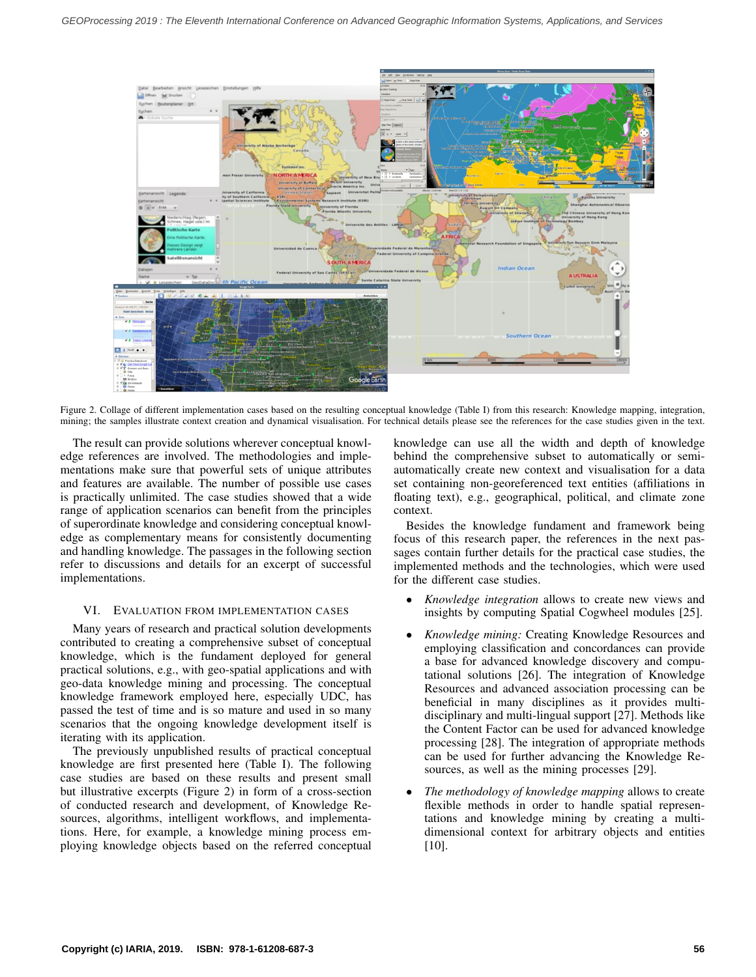<span id="page-4-0"></span>

Figure 2. Collage of different implementation cases based on the resulting conceptual knowledge (Table [I\)](#page-3-0) from this research: Knowledge mapping, integration, mining; the samples illustrate context creation and dynamical visualisation. For technical details please see the references for the case studies given in the text.

The result can provide solutions wherever conceptual knowledge references are involved. The methodologies and implementations make sure that powerful sets of unique attributes and features are available. The number of possible use cases is practically unlimited. The case studies showed that a wide range of application scenarios can benefit from the principles of superordinate knowledge and considering conceptual knowledge as complementary means for consistently documenting and handling knowledge. The passages in the following section refer to discussions and details for an excerpt of successful implementations.

## VI. EVALUATION FROM IMPLEMENTATION CASES

Many years of research and practical solution developments contributed to creating a comprehensive subset of conceptual knowledge, which is the fundament deployed for general practical solutions, e.g., with geo-spatial applications and with geo-data knowledge mining and processing. The conceptual knowledge framework employed here, especially UDC, has passed the test of time and is so mature and used in so many scenarios that the ongoing knowledge development itself is iterating with its application.

The previously unpublished results of practical conceptual knowledge are first presented here (Table [I\)](#page-3-0). The following case studies are based on these results and present small but illustrative excerpts (Figure [2\)](#page-4-0) in form of a cross-section of conducted research and development, of Knowledge Resources, algorithms, intelligent workflows, and implementations. Here, for example, a knowledge mining process employing knowledge objects based on the referred conceptual knowledge can use all the width and depth of knowledge behind the comprehensive subset to automatically or semiautomatically create new context and visualisation for a data set containing non-georeferenced text entities (affiliations in floating text), e.g., geographical, political, and climate zone context.

Besides the knowledge fundament and framework being focus of this research paper, the references in the next passages contain further details for the practical case studies, the implemented methods and the technologies, which were used for the different case studies.

- *Knowledge integration* allows to create new views and insights by computing Spatial Cogwheel modules [\[25\]](#page-6-15).
- *Knowledge mining:* Creating Knowledge Resources and employing classification and concordances can provide a base for advanced knowledge discovery and computational solutions [\[26\]](#page-6-16). The integration of Knowledge Resources and advanced association processing can be beneficial in many disciplines as it provides multidisciplinary and multi-lingual support [\[27\]](#page-6-17). Methods like the Content Factor can be used for advanced knowledge processing [\[28\]](#page-6-18). The integration of appropriate methods can be used for further advancing the Knowledge Resources, as well as the mining processes [\[29\]](#page-6-19).
- *The methodology of knowledge mapping* allows to create flexible methods in order to handle spatial representations and knowledge mining by creating a multidimensional context for arbitrary objects and entities [\[10\]](#page-6-0).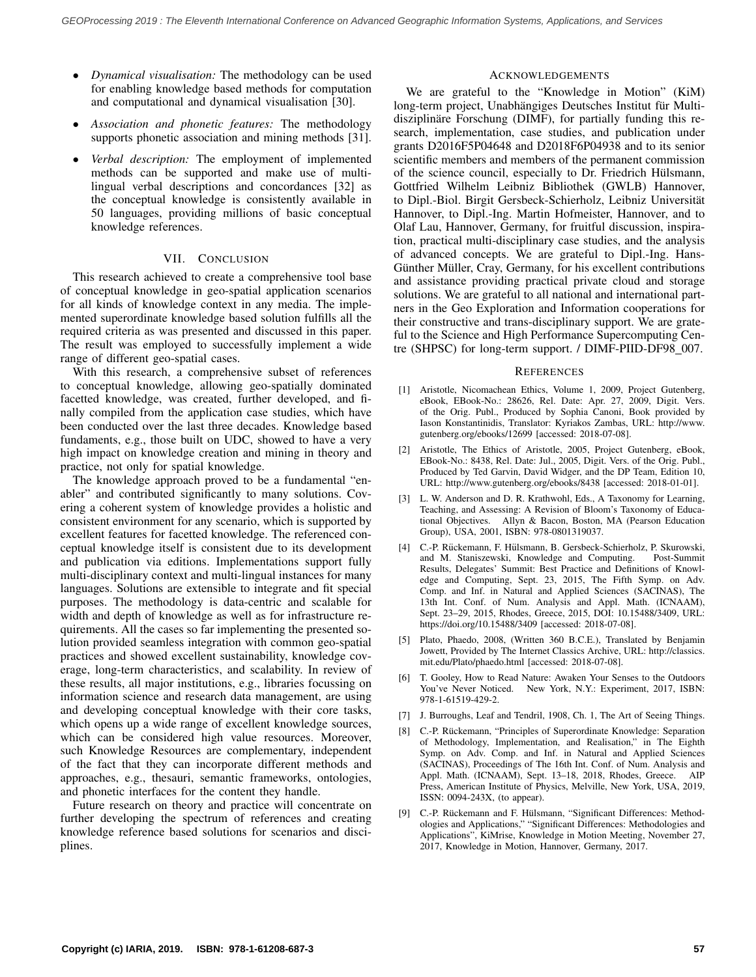- *Dynamical visualisation:* The methodology can be used for enabling knowledge based methods for computation and computational and dynamical visualisation [\[30\]](#page-6-20).
- *Association and phonetic features:* The methodology supports phonetic association and mining methods [\[31\]](#page-6-21).
- *Verbal description:* The employment of implemented methods can be supported and make use of multilingual verbal descriptions and concordances [\[32\]](#page-6-22) as the conceptual knowledge is consistently available in 50 languages, providing millions of basic conceptual knowledge references.

## VII. CONCLUSION

This research achieved to create a comprehensive tool base of conceptual knowledge in geo-spatial application scenarios for all kinds of knowledge context in any media. The implemented superordinate knowledge based solution fulfills all the required criteria as was presented and discussed in this paper. The result was employed to successfully implement a wide range of different geo-spatial cases.

With this research, a comprehensive subset of references to conceptual knowledge, allowing geo-spatially dominated facetted knowledge, was created, further developed, and finally compiled from the application case studies, which have been conducted over the last three decades. Knowledge based fundaments, e.g., those built on UDC, showed to have a very high impact on knowledge creation and mining in theory and practice, not only for spatial knowledge.

The knowledge approach proved to be a fundamental "enabler" and contributed significantly to many solutions. Covering a coherent system of knowledge provides a holistic and consistent environment for any scenario, which is supported by excellent features for facetted knowledge. The referenced conceptual knowledge itself is consistent due to its development and publication via editions. Implementations support fully multi-disciplinary context and multi-lingual instances for many languages. Solutions are extensible to integrate and fit special purposes. The methodology is data-centric and scalable for width and depth of knowledge as well as for infrastructure requirements. All the cases so far implementing the presented solution provided seamless integration with common geo-spatial practices and showed excellent sustainability, knowledge coverage, long-term characteristics, and scalability. In review of these results, all major institutions, e.g., libraries focussing on information science and research data management, are using and developing conceptual knowledge with their core tasks, which opens up a wide range of excellent knowledge sources, which can be considered high value resources. Moreover, such Knowledge Resources are complementary, independent of the fact that they can incorporate different methods and approaches, e.g., thesauri, semantic frameworks, ontologies, and phonetic interfaces for the content they handle.

Future research on theory and practice will concentrate on further developing the spectrum of references and creating knowledge reference based solutions for scenarios and disciplines.

## ACKNOWLEDGEMENTS

We are grateful to the "Knowledge in Motion" (KiM) long-term project, Unabhängiges Deutsches Institut für Multidisziplinare Forschung (DIMF), for partially funding this research, implementation, case studies, and publication under grants D2016F5P04648 and D2018F6P04938 and to its senior scientific members and members of the permanent commission of the science council, especially to Dr. Friedrich Hülsmann, Gottfried Wilhelm Leibniz Bibliothek (GWLB) Hannover, to Dipl.-Biol. Birgit Gersbeck-Schierholz, Leibniz Universitat¨ Hannover, to Dipl.-Ing. Martin Hofmeister, Hannover, and to Olaf Lau, Hannover, Germany, for fruitful discussion, inspiration, practical multi-disciplinary case studies, and the analysis of advanced concepts. We are grateful to Dipl.-Ing. Hans-Günther Müller, Cray, Germany, for his excellent contributions and assistance providing practical private cloud and storage solutions. We are grateful to all national and international partners in the Geo Exploration and Information cooperations for their constructive and trans-disciplinary support. We are grateful to the Science and High Performance Supercomputing Centre (SHPSC) for long-term support. / DIMF-PIID-DF98\_007.

#### **REFERENCES**

- <span id="page-5-0"></span>[1] Aristotle, Nicomachean Ethics, Volume 1, 2009, Project Gutenberg, eBook, EBook-No.: 28626, Rel. Date: Apr. 27, 2009, Digit. Vers. of the Orig. Publ., Produced by Sophia Canoni, Book provided by Iason Konstantinidis, Translator: Kyriakos Zambas, URL: [http://www.](http://www.gutenberg.org/ebooks/12699) [gutenberg.org/ebooks/12699](http://www.gutenberg.org/ebooks/12699) [accessed: 2018-07-08].
- <span id="page-5-1"></span>[2] Aristotle, The Ethics of Aristotle, 2005, Project Gutenberg, eBook, EBook-No.: 8438, Rel. Date: Jul., 2005, Digit. Vers. of the Orig. Publ., Produced by Ted Garvin, David Widger, and the DP Team, Edition 10, URL:<http://www.gutenberg.org/ebooks/8438> [accessed: 2018-01-01].
- <span id="page-5-2"></span>[3] L. W. Anderson and D. R. Krathwohl, Eds., A Taxonomy for Learning, Teaching, and Assessing: A Revision of Bloom's Taxonomy of Educational Objectives. Allyn & Bacon, Boston, MA (Pearson Education Group), USA, 2001, ISBN: 978-0801319037.
- <span id="page-5-3"></span>[4] C.-P. Rückemann, F. Hülsmann, B. Gersbeck-Schierholz, P. Skurowski, and M. Staniszewski, Knowledge and Computing. Post-Summit Results, Delegates' Summit: Best Practice and Definitions of Knowledge and Computing, Sept. 23, 2015, The Fifth Symp. on Adv. Comp. and Inf. in Natural and Applied Sciences (SACINAS), The 13th Int. Conf. of Num. Analysis and Appl. Math. (ICNAAM), Sept. 23–29, 2015, Rhodes, Greece, 2015, DOI: 10.15488/3409, URL: https://doi.org/10.15488/3409 [accessed: 2018-07-08].
- <span id="page-5-4"></span>[5] Plato, Phaedo, 2008, (Written 360 B.C.E.), Translated by Benjamin Jowett, Provided by The Internet Classics Archive, URL: [http://classics.](http://classics.mit.edu/Plato/phaedo.html) [mit.edu/Plato/phaedo.html](http://classics.mit.edu/Plato/phaedo.html) [accessed: 2018-07-08].
- <span id="page-5-5"></span>[6] T. Gooley, How to Read Nature: Awaken Your Senses to the Outdoors You've Never Noticed. New York, N.Y.: Experiment, 2017, ISBN: 978-1-61519-429-2.
- <span id="page-5-6"></span>[7] J. Burroughs, Leaf and Tendril, 1908, Ch. 1, The Art of Seeing Things.
- <span id="page-5-7"></span>[8] C.-P. Rückemann, "Principles of Superordinate Knowledge: Separation of Methodology, Implementation, and Realisation," in The Eighth Symp. on Adv. Comp. and Inf. in Natural and Applied Sciences (SACINAS), Proceedings of The 16th Int. Conf. of Num. Analysis and Appl. Math. (ICNAAM), Sept. 13–18, 2018, Rhodes, Greece. AIP Press, American Institute of Physics, Melville, New York, USA, 2019, ISSN: 0094-243X, (to appear).
- <span id="page-5-8"></span>[9] C.-P. Rückemann and F. Hülsmann, "Significant Differences: Methodologies and Applications," "Significant Differences: Methodologies and Applications", KiMrise, Knowledge in Motion Meeting, November 27, 2017, Knowledge in Motion, Hannover, Germany, 2017.